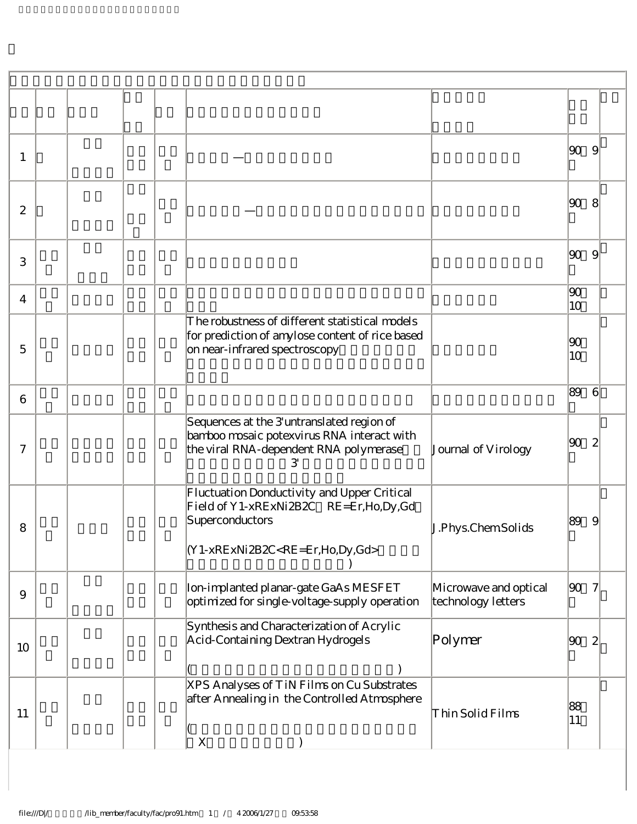| 1              |  |                                                                                                                                                                |                                             | $ 90\rangle$       | 9            |
|----------------|--|----------------------------------------------------------------------------------------------------------------------------------------------------------------|---------------------------------------------|--------------------|--------------|
| $\mathbf{z}$   |  |                                                                                                                                                                |                                             | 90                 | $8^{\circ}$  |
| 3              |  |                                                                                                                                                                |                                             | 90                 | 9            |
| $\overline{4}$ |  |                                                                                                                                                                |                                             | $ 90\rangle$<br>10 |              |
| 5              |  | The robustness of different statistical models<br>for prediction of amylose content of rice based<br>on near-infrared spectroscopy                             |                                             | $ 90\rangle$<br>10 |              |
| 6              |  |                                                                                                                                                                |                                             | 89                 | 6            |
| $\tau$         |  | Sequences at the 3'untranslated region of<br>bamboo mosaic potexvirus RNA interact with<br>the viral RNA-dependent RNA polymerase<br>З                         | Journal of Virology                         | $ 90\rangle$       | 2            |
| 8              |  | Fluctuation Donductivity and Upper Critical<br>Field of Y1-xRExNi2B2C RE=Er, Ho, Dy, Gd<br>Superconductors<br>(Y1-xRExNi2B2C <re=er,ho,dy,gd></re=er,ho,dy,gd> | J.Phys.ChemSolids                           | 89                 | 9            |
| 9              |  | Ion-implanted planar-gate GaAs MESFET<br>optimized for single-voltage-supply operation                                                                         | Microwave and optical<br>technology letters | 90                 |              |
| 10             |  | Synthesis and Characterization of Acrylic<br>Acid-Containing Dextran Hydrogels                                                                                 | Polymer                                     | 90                 | $\mathbf{2}$ |
| 11             |  | XPS Analyses of TiN Films on Cu Substrates<br>after Annealing in the Controlled Atmosphere<br>X                                                                | Thin Solid Films                            | 88<br> 11          |              |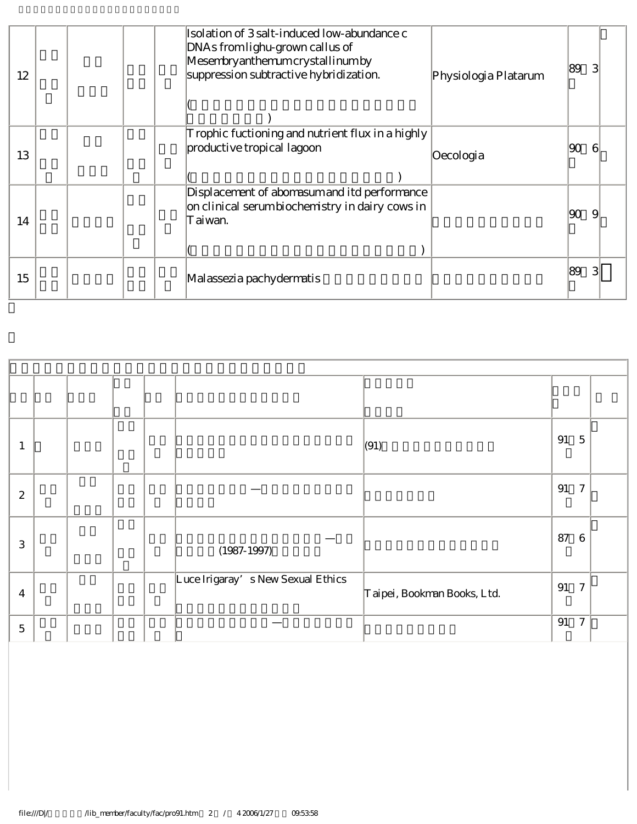| 12 |  | Isolation of 3 salt-induced low-abundance c<br>DNAs from lighu-grown callus of<br>Mesembryanthemum crystallinum by<br>suppression subtractive hybridization. | Physiologia Platarum | 89<br>З |  |
|----|--|--------------------------------------------------------------------------------------------------------------------------------------------------------------|----------------------|---------|--|
| 13 |  | Trophic fuctioning and nutrient flux in a highly<br>productive tropical lagoon                                                                               | Oecologia            | 90<br>6 |  |
| 14 |  | Displacement of abomasum and itd performance<br>on clinical serum biochemistry in dairy cows in<br>Taiwan.                                                   |                      | 90<br>9 |  |
| 15 |  | Malassezia pachydermatis                                                                                                                                     |                      | 89      |  |

|                  |  |  |                                   | (91)                        | 91 | $\mathbf 5$      |  |
|------------------|--|--|-----------------------------------|-----------------------------|----|------------------|--|
| $\boldsymbol{2}$ |  |  |                                   |                             | 91 | $\overline{7}$   |  |
| 3                |  |  | $(1987 - 1997)$                   |                             | 87 | $6\phantom{1}6$  |  |
| $\overline{4}$   |  |  | Luce Irigaray's New Sexual Ethics | Taipei, Bookman Books, Ltd. | 91 | $\overline{7}$   |  |
| $\mathbf 5$      |  |  |                                   |                             | 91 | $\boldsymbol{7}$ |  |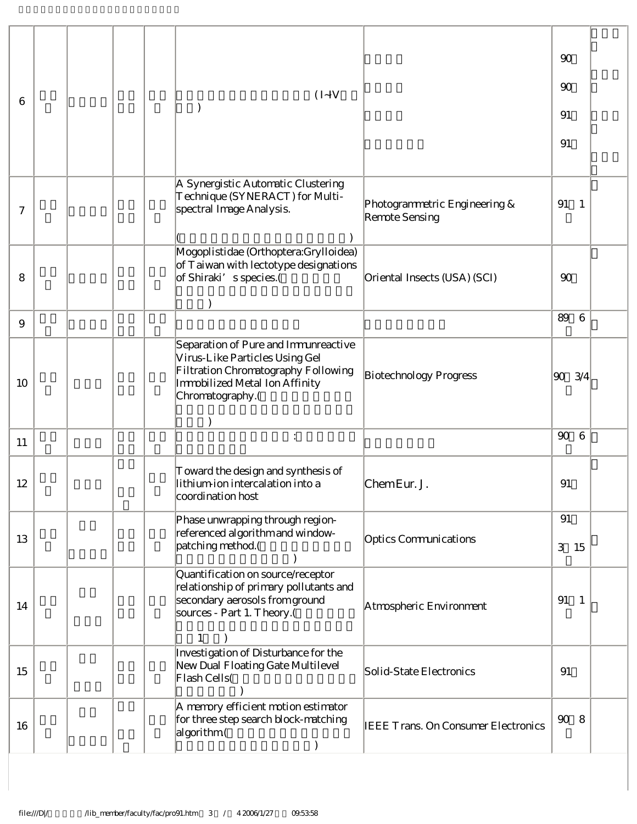|    |  |  |                                                                                                                                                                     |                                                 | 90                              |  |
|----|--|--|---------------------------------------------------------------------------------------------------------------------------------------------------------------------|-------------------------------------------------|---------------------------------|--|
| 6  |  |  | $(I-IV)$                                                                                                                                                            |                                                 | 90                              |  |
|    |  |  |                                                                                                                                                                     |                                                 | 91                              |  |
|    |  |  |                                                                                                                                                                     |                                                 | 91                              |  |
|    |  |  |                                                                                                                                                                     |                                                 |                                 |  |
| 7  |  |  | A Synergistic Automatic Clustering<br>Technique (SYNERACT) for Multi-<br>spectral Image Analysis.                                                                   | Photogrammetric Engineering &<br>Remote Sensing | 91<br>$\overline{1}$            |  |
| 8  |  |  | Mogoplistidae (Orthoptera:Grylloidea)<br>of Taiwan with lectotype designations<br>of Shiraki's species.(                                                            | Oriental Insects (USA) (SCI)                    | 90                              |  |
| 9  |  |  |                                                                                                                                                                     |                                                 | 89<br>6                         |  |
| 10 |  |  | Separation of Pure and Immunreactive<br>Virus-Like Particles Using Gel<br>Filtration Chromatography Following<br>Immobilized Metal Ion Affinity<br>Chromatography.( | Biotechnology Progress                          | 3/4<br> 90                      |  |
| 11 |  |  | $\ddot{\cdot}$                                                                                                                                                      |                                                 | $90^{\circ}$<br>$6\phantom{1}6$ |  |
| 12 |  |  | Toward the design and synthesis of<br>lithium-ion intercalation into a<br> coordination host                                                                        | ChemEur. J.                                     | 91                              |  |
| 13 |  |  | Phase unwrapping through region-<br>referenced algorithm and window-<br>patching method.(                                                                           | Optics Communications                           | 91<br>3<br>15                   |  |
| 14 |  |  | Quantification on source/receptor<br>relationship of primary pollutants and<br>secondary aerosols from ground<br>sources - Part 1. Theory.(<br>$\mathbf{1}$         | Atmospheric Environment                         | 91<br>$\overline{1}$            |  |
| 15 |  |  | Investigation of Disturbance for the<br>New Dual Floating Gate Multilevel<br>Flash Cells(                                                                           | Solid-State Electronics                         | 91                              |  |
| 16 |  |  | A memory efficient motion estimator<br>for three step search block-matching<br>algorithm (                                                                          | <b>IEEE Trans. On Consumer Electronics</b>      | $90\,$<br>8                     |  |